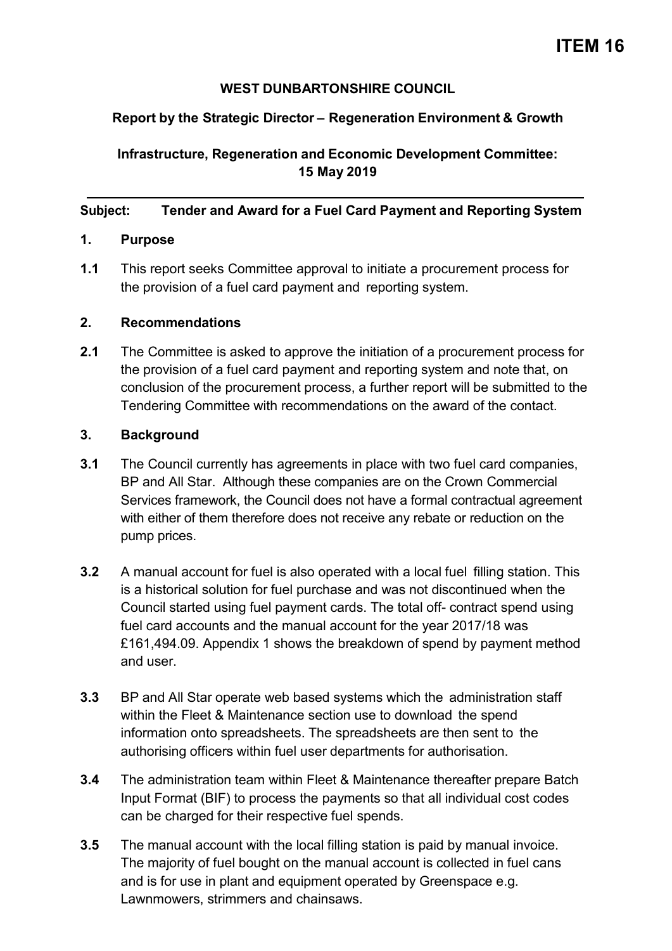#### **WEST DUNBARTONSHIRE COUNCIL**

### **Report by the Strategic Director – Regeneration Environment & Growth**

**Infrastructure, Regeneration and Economic Development Committee: 15 May 2019**

#### **Subject: Tender and Award for a Fuel Card Payment and Reporting System**

#### **1. Purpose**

**1.1** This report seeks Committee approval to initiate a procurement process for the provision of a fuel card payment and reporting system.

#### **2. Recommendations**

**2.1** The Committee is asked to approve the initiation of a procurement process for the provision of a fuel card payment and reporting system and note that, on conclusion of the procurement process, a further report will be submitted to the Tendering Committee with recommendations on the award of the contact.

#### **3. Background**

- **3.1** The Council currently has agreements in place with two fuel card companies, BP and All Star. Although these companies are on the Crown Commercial Services framework, the Council does not have a formal contractual agreement with either of them therefore does not receive any rebate or reduction on the pump prices.
- **3.2** A manual account for fuel is also operated with a local fuel filling station. This is a historical solution for fuel purchase and was not discontinued when the Council started using fuel payment cards. The total off- contract spend using fuel card accounts and the manual account for the year 2017/18 was £161,494.09. Appendix 1 shows the breakdown of spend by payment method and user.
- **3.3** BP and All Star operate web based systems which the administration staff within the Fleet & Maintenance section use to download the spend information onto spreadsheets. The spreadsheets are then sent to the authorising officers within fuel user departments for authorisation.
- **3.4** The administration team within Fleet & Maintenance thereafter prepare Batch Input Format (BIF) to process the payments so that all individual cost codes can be charged for their respective fuel spends.
- **3.5** The manual account with the local filling station is paid by manual invoice. The majority of fuel bought on the manual account is collected in fuel cans and is for use in plant and equipment operated by Greenspace e.g. Lawnmowers, strimmers and chainsaws.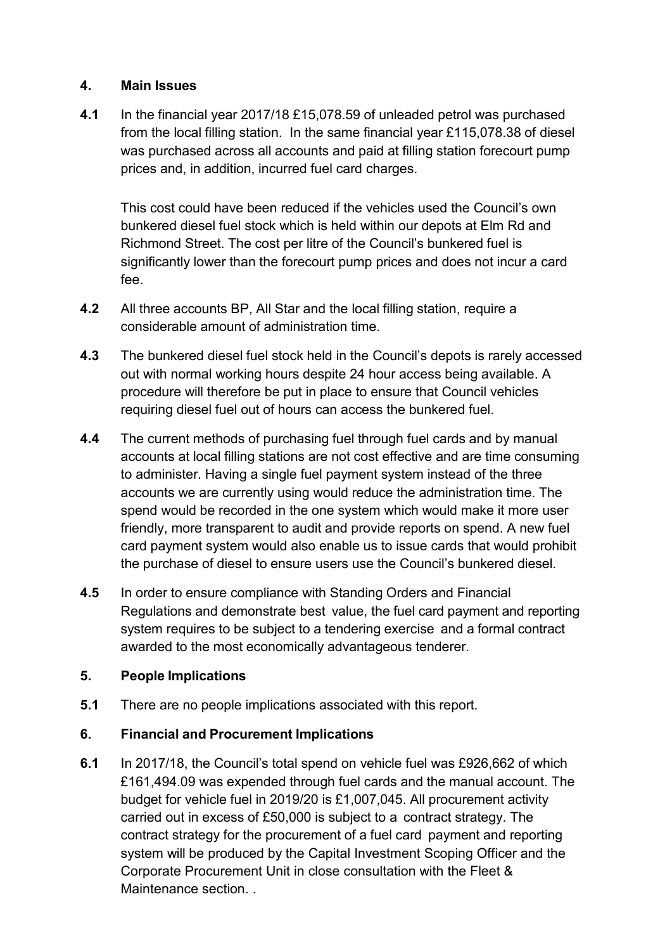#### **4. Main Issues**

**4.1** In the financial year 2017/18 £15,078.59 of unleaded petrol was purchased from the local filling station. In the same financial year £115,078.38 of diesel was purchased across all accounts and paid at filling station forecourt pump prices and, in addition, incurred fuel card charges.

This cost could have been reduced if the vehicles used the Council's own bunkered diesel fuel stock which is held within our depots at Elm Rd and Richmond Street. The cost per litre of the Council's bunkered fuel is significantly lower than the forecourt pump prices and does not incur a card fee.

- **4.2** All three accounts BP, All Star and the local filling station, require a considerable amount of administration time.
- **4.3** The bunkered diesel fuel stock held in the Council's depots is rarely accessed out with normal working hours despite 24 hour access being available. A procedure will therefore be put in place to ensure that Council vehicles requiring diesel fuel out of hours can access the bunkered fuel.
- **4.4** The current methods of purchasing fuel through fuel cards and by manual accounts at local filling stations are not cost effective and are time consuming to administer. Having a single fuel payment system instead of the three accounts we are currently using would reduce the administration time. The spend would be recorded in the one system which would make it more user friendly, more transparent to audit and provide reports on spend. A new fuel card payment system would also enable us to issue cards that would prohibit the purchase of diesel to ensure users use the Council's bunkered diesel.
- **4.5** In order to ensure compliance with Standing Orders and Financial Regulations and demonstrate best value, the fuel card payment and reporting system requires to be subject to a tendering exercise and a formal contract awarded to the most economically advantageous tenderer.

### **5. People Implications**

**5.1** There are no people implications associated with this report.

### **6. Financial and Procurement Implications**

**6.1** In 2017/18, the Council's total spend on vehicle fuel was £926,662 of which £161,494.09 was expended through fuel cards and the manual account. The budget for vehicle fuel in 2019/20 is £1,007,045. All procurement activity carried out in excess of £50,000 is subject to a contract strategy. The contract strategy for the procurement of a fuel card payment and reporting system will be produced by the Capital Investment Scoping Officer and the Corporate Procurement Unit in close consultation with the Fleet & Maintenance section. .